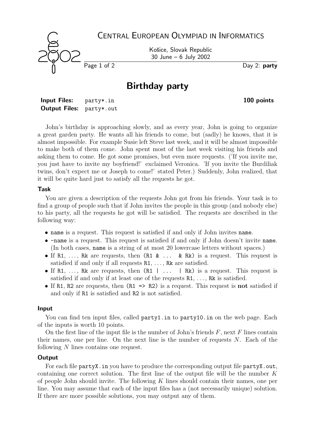CENTRAL EUROPEAN OLYMPIAD IN INFORMATICS Košice, Slovak Republic 30 June – 6 July 2002 Page 1 of 2 Day 2: party

# Birthday party

| <b>Input Files:</b>             | party*.in |
|---------------------------------|-----------|
| <b>Output Files:</b> party*.out |           |

John's birthday is approaching slowly, and as every year, John is going to organize a great garden party. He wants all his friends to come, but (sadly) he knows, that it is almost impossible. For example Susie left Steve last week, and it will be almost impossible to make both of them come. John spent most of the last week visiting his friends and asking them to come. He got some promises, but even more requests. ('If you invite me, you just have to invite my boyfriend!' exclaimed Veronica. 'If you invite the Burdiliak twins, don't expect me or Joseph to come!' stated Peter.) Suddenly, John realized, that it will be quite hard just to satisfy all the requests he got.

#### Task

You are given a description of the requests John got from his friends. Your task is to find a group of people such that if John invites the people in this group (and nobody else) to his party, all the requests he got will be satisfied. The requests are described in the following way:

- name is a request. This request is satisfied if and only if John invites name.
- -name is a request. This request is satisfied if and only if John doesn't invite name. (In both cases, name is a string of at most 20 lowercase letters without spaces.)
- If R1, ..., Rk are requests, then  $(R1 \& \ldots \& Rk)$  is a request. This request is satisfied if and only if all requests  $R1, \ldots, Rk$  are satisfied.
- If R1, ..., Rk are requests, then  $(R1 \mid \ldots \mid Rk)$  is a request. This request is satisfied if and only if at least one of the requests  $R1, \ldots, Rk$  is satisfied.
- If R1, R2 are requests, then (R1 => R2) is a request. This request is **not** satisfied if and only if R1 is satisfied and R2 is not satisfied.

#### Input

You can find ten input files, called party1.in to party10.in on the web page. Each of the inputs is worth 10 points.

On the first line of the input file is the number of John's friends  $F$ , next  $F$  lines contain their names, one per line. On the next line is the number of requests  $N$ . Each of the following N lines contains one request.

#### **Output**

For each file partyX. in you have to produce the corresponding output file partyX. out, containing one correct solution. The first line of the output file will be the number  $K$ of people John should invite. The following  $K$  lines should contain their names, one per line. You may assume that each of the input files has a (not necessarily unique) solution. If there are more possible solutions, you may output any of them.

100 points